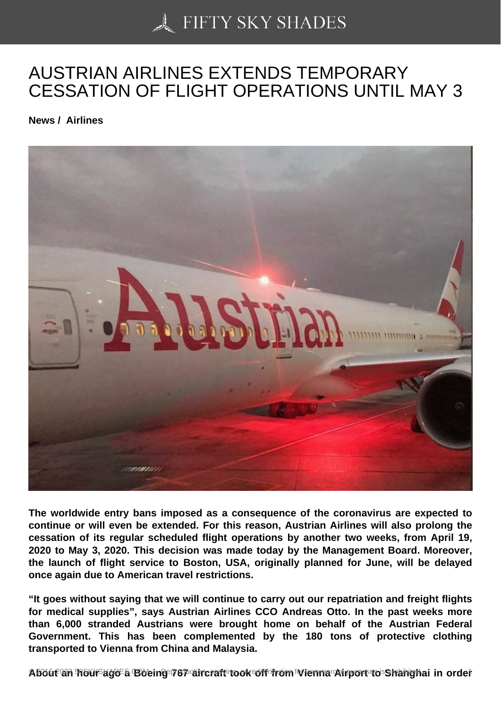## [AUSTRIAN AIRLINES](https://50skyshades.com) EXTENDS TEMPORARY CESSATION OF FLIGHT OPERATIONS UNTIL MAY 3

News / Airlines

The worldwide entry bans imposed as a consequence of the coronavirus are expected to continue or will even be extended. For this reason, Austrian Airlines will also prolong the cessation of its regular scheduled flight operations by another two weeks, from April 19, 2020 to May 3, 2020. This decision was made today by the Management Board. Moreover, the launch of flight service to Boston, USA, originally planned for June, will be delayed once again due to American travel restrictions.

"It goes without saying that we will continue to carry out our repatriation and freight flights for medical supplies", says Austrian Airlines CCO Andreas Otto. In the past weeks more than 6,000 stranded Austrians were brought home on behalf of the Austrian Federal Government. This has been complemented by the 180 tons of protective clothing transported to Vienna from China and Malaysia.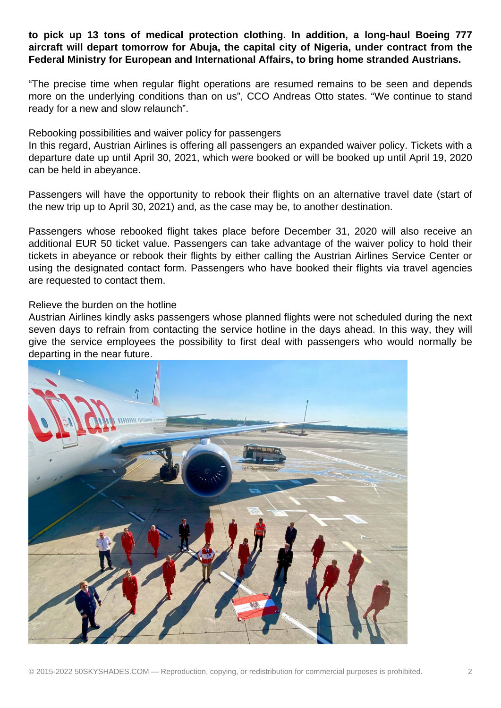## **to pick up 13 tons of medical protection clothing. In addition, a long-haul Boeing 777 aircraft will depart tomorrow for Abuja, the capital city of Nigeria, under contract from the Federal Ministry for European and International Affairs, to bring home stranded Austrians.**

"The precise time when regular flight operations are resumed remains to be seen and depends more on the underlying conditions than on us", CCO Andreas Otto states. "We continue to stand ready for a new and slow relaunch".

## Rebooking possibilities and waiver policy for passengers

In this regard, Austrian Airlines is offering all passengers an expanded waiver policy. Tickets with a departure date up until April 30, 2021, which were booked or will be booked up until April 19, 2020 can be held in abeyance.

Passengers will have the opportunity to rebook their flights on an alternative travel date (start of the new trip up to April 30, 2021) and, as the case may be, to another destination.

Passengers whose rebooked flight takes place before December 31, 2020 will also receive an additional EUR 50 ticket value. Passengers can take advantage of the waiver policy to hold their tickets in abeyance or rebook their flights by either calling the Austrian Airlines Service Center or using the designated contact form. Passengers who have booked their flights via travel agencies are requested to contact them.

## Relieve the burden on the hotline

Austrian Airlines kindly asks passengers whose planned flights were not scheduled during the next seven days to refrain from contacting the service hotline in the days ahead. In this way, they will give the service employees the possibility to first deal with passengers who would normally be departing in the near future.